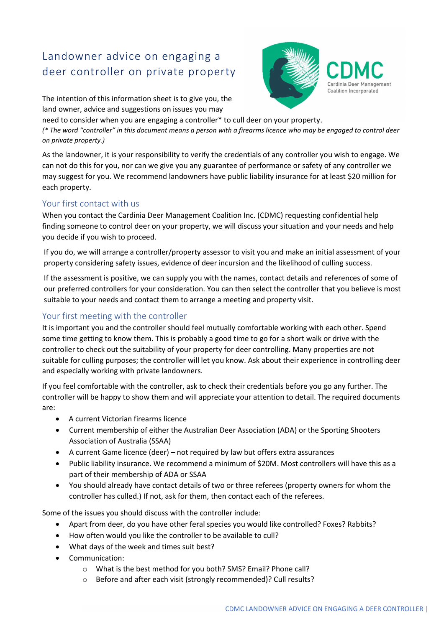## Landowner advice on engaging a deer controller on private property



The intention of this information sheet is to give you, the land owner, advice and suggestions on issues you may

need to consider when you are engaging a controller\* to cull deer on your property. (\* The word "controller" in this document means a person with a firearms licence who may be engaged to control deer on private property.)

As the landowner, it is your responsibility to verify the credentials of any controller you wish to engage. We can not do this for you, nor can we give you any guarantee of performance or safety of any controller we may suggest for you. We recommend landowners have public liability insurance for at least \$20 million for each property.

## Your first contact with us

When you contact the Cardinia Deer Management Coalition Inc. (CDMC) requesting confidential help finding someone to control deer on your property, we will discuss your situation and your needs and help you decide if you wish to proceed.

If you do, we will arrange a controller/property assessor to visit you and make an initial assessment of your property considering safety issues, evidence of deer incursion and the likelihood of culling success.

If the assessment is positive, we can supply you with the names, contact details and references of some of our preferred controllers for your consideration. You can then select the controller that you believe is most suitable to your needs and contact them to arrange a meeting and property visit.

## Your first meeting with the controller

It is important you and the controller should feel mutually comfortable working with each other. Spend some time getting to know them. This is probably a good time to go for a short walk or drive with the controller to check out the suitability of your property for deer controlling. Many properties are not suitable for culling purposes; the controller will let you know. Ask about their experience in controlling deer and especially working with private landowners.

If you feel comfortable with the controller, ask to check their credentials before you go any further. The controller will be happy to show them and will appreciate your attention to detail. The required documents are:

- A current Victorian firearms licence
- Current membership of either the Australian Deer Association (ADA) or the Sporting Shooters Association of Australia (SSAA)
- A current Game licence (deer) not required by law but offers extra assurances
- Public liability insurance. We recommend a minimum of \$20M. Most controllers will have this as a part of their membership of ADA or SSAA
- You should already have contact details of two or three referees (property owners for whom the controller has culled.) If not, ask for them, then contact each of the referees.

Some of the issues you should discuss with the controller include:

- Apart from deer, do you have other feral species you would like controlled? Foxes? Rabbits?
- How often would you like the controller to be available to cull?
- What days of the week and times suit best?
- Communication:
	- o What is the best method for you both? SMS? Email? Phone call?
	- o Before and after each visit (strongly recommended)? Cull results?